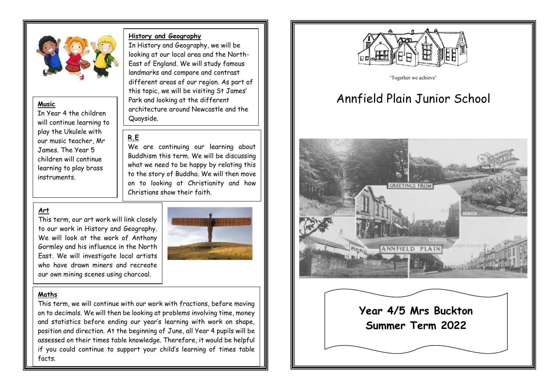

#### **Music**

In Year 4 the children will continue learning to play the Ukulele with our music teacher, Mr James. The Year 5 children will continue learning to play brass instruments.

#### **History and Geography**

In History and Geography, we will be looking at our local area and the North-East of England. We will study famous landmarks and compare and contrast different areas of our region. As part of this topic, we will be visiting St James' Park and looking at the different architecture around Newcastle and the Quayside.

# **R.E**

We are continuing our learning about Buddhism this term. We will be discussing what we need to be happy by relating this to the story of Buddha. We will then move on to looking at Christianity and how Christians show their faith.

# **Art**

This term, our art work will link closely to our work in History and Geography. We will look at the work of Anthony Gormley and his influence in the North East. We will investigate local artists who have drawn miners and recreate our own mining scenes using charcoal.



#### **Maths**

This term, we will continue with our work with fractions, before moving on to decimals. We will then be looking at problems involving time, money and statistics before ending our year's learning with work on shape, position and direction. At the beginning of June, all Year 4 pupils will be assessed on their times table knowledge. Therefore, it would be helpful if you could continue to support your child's learning of times table facts.



'Together we achieve'

# Annfield Plain Junior School



**Year 4/5 Mrs Buckton Summer Term 2022**